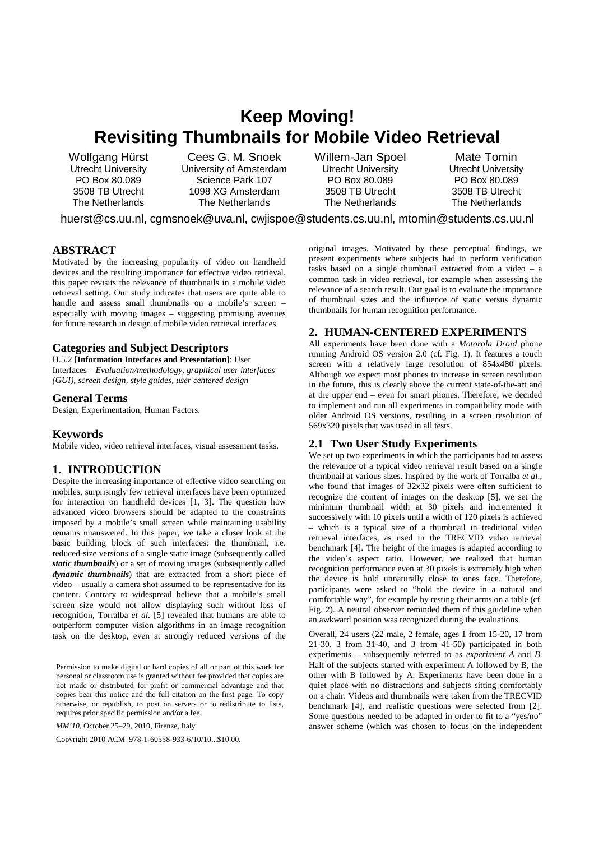# **Keep Moving! Revisiting Thumbnails for Mobile Video Retrieval**

Wolfgang Hürst Utrecht University PO Box 80.089 3508 TB Utrecht The Netherlands

Cees G. M. Snoek University of Amsterdam Science Park 107 1098 XG Amsterdam The Netherlands

Willem-Jan Spoel Utrecht University PO Box 80.089 3508 TB Utrecht The Netherlands

Mate Tomin Utrecht University PO Box 80.089 3508 TB Utrecht The Netherlands

huerst@cs.uu.nl, cgmsnoek@uva.nl, cwjispoe@students.cs.uu.nl, mtomin@students.cs.uu.nl

## **ABSTRACT**

Motivated by the increasing popularity of video on handheld devices and the resulting importance for effective video retrieval, this paper revisits the relevance of thumbnails in a mobile video retrieval setting. Our study indicates that users are quite able to handle and assess small thumbnails on a mobile's screen – especially with moving images – suggesting promising avenues for future research in design of mobile video retrieval interfaces.

#### **Categories and Subject Descriptors**

H.5.2 [**Information Interfaces and Presentation**]: User Interfaces – *Evaluation/methodology, graphical user interfaces (GUI), screen design, style guides, user centered design* 

#### **General Terms**

Design, Experimentation, Human Factors.

## **Keywords**

Mobile video, video retrieval interfaces, visual assessment tasks.

# **1. INTRODUCTION**

Despite the increasing importance of effective video searching on mobiles, surprisingly few retrieval interfaces have been optimized for interaction on handheld devices [1, 3]. The question how advanced video browsers should be adapted to the constraints imposed by a mobile's small screen while maintaining usability remains unanswered. In this paper, we take a closer look at the basic building block of such interfaces: the thumbnail, i.e. reduced-size versions of a single static image (subsequently called *static thumbnails*) or a set of moving images (subsequently called *dynamic thumbnails*) that are extracted from a short piece of video – usually a camera shot assumed to be representative for its content. Contrary to widespread believe that a mobile's small screen size would not allow displaying such without loss of recognition, Torralba *et al*. [5] revealed that humans are able to outperform computer vision algorithms in an image recognition task on the desktop, even at strongly reduced versions of the

Permission to make digital or hard copies of all or part of this work for personal or classroom use is granted without fee provided that copies are not made or distributed for profit or commercial advantage and that copies bear this notice and the full citation on the first page. To copy otherwise, or republish, to post on servers or to redistribute to lists, requires prior specific permission and/or a fee.

*MM'10*, October 25–29, 2010, Firenze, Italy.

Copyright 2010 ACM 978-1-60558-933-6/10/10...\$10.00.

original images. Motivated by these perceptual findings, we present experiments where subjects had to perform verification tasks based on a single thumbnail extracted from a video – a common task in video retrieval, for example when assessing the relevance of a search result. Our goal is to evaluate the importance of thumbnail sizes and the influence of static versus dynamic thumbnails for human recognition performance.

## **2. HUMAN-CENTERED EXPERIMENTS**

All experiments have been done with a *Motorola Droid* phone running Android OS version 2.0 (cf. Fig. 1). It features a touch screen with a relatively large resolution of 854x480 pixels. Although we expect most phones to increase in screen resolution in the future, this is clearly above the current state-of-the-art and at the upper end – even for smart phones. Therefore, we decided to implement and run all experiments in compatibility mode with older Android OS versions, resulting in a screen resolution of 569x320 pixels that was used in all tests.

## **2.1 Two User Study Experiments**

We set up two experiments in which the participants had to assess the relevance of a typical video retrieval result based on a single thumbnail at various sizes. Inspired by the work of Torralba *et al*., who found that images of  $32x32$  pixels were often sufficient to recognize the content of images on the desktop [5], we set the minimum thumbnail width at 30 pixels and incremented it successively with 10 pixels until a width of 120 pixels is achieved – which is a typical size of a thumbnail in traditional video retrieval interfaces, as used in the TRECVID video retrieval benchmark [4]. The height of the images is adapted according to the video's aspect ratio. However, we realized that human recognition performance even at 30 pixels is extremely high when the device is hold unnaturally close to ones face. Therefore, participants were asked to "hold the device in a natural and comfortable way", for example by resting their arms on a table (cf. Fig. 2). A neutral observer reminded them of this guideline when an awkward position was recognized during the evaluations.

Overall, 24 users (22 male, 2 female, ages 1 from 15-20, 17 from 21-30, 3 from 31-40, and 3 from 41-50) participated in both experiments – subsequently referred to as *experiment A* and *B*. Half of the subjects started with experiment A followed by B, the other with B followed by A. Experiments have been done in a quiet place with no distractions and subjects sitting comfortably on a chair. Videos and thumbnails were taken from the TRECVID benchmark [4], and realistic questions were selected from [2]. Some questions needed to be adapted in order to fit to a "yes/no" answer scheme (which was chosen to focus on the independent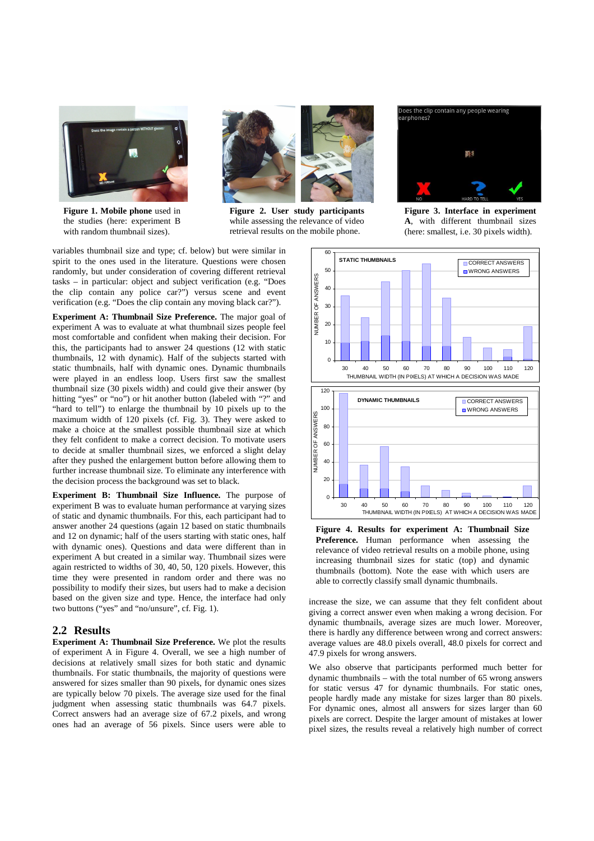

**Figure 1. Mobile phone** used in the studies (here: experiment B with random thumbnail sizes).



**Figure 2. User study participants** while assessing the relevance of video retrieval results on the mobile phone.

NUMBER OF ANSWERS

NUMBER OF ANSWERS

variables thumbnail size and type; cf. below) but were similar in spirit to the ones used in the literature. Questions were chosen randomly, but under consideration of covering different retrieval tasks – in particular: object and subject verification (e.g. "Does the clip contain any police car?") versus scene and event verification (e.g. "Does the clip contain any moving black car?").

**Experiment A: Thumbnail Size Preference.** The major goal of experiment A was to evaluate at what thumbnail sizes people feel most comfortable and confident when making their decision. For this, the participants had to answer 24 questions (12 with static thumbnails, 12 with dynamic). Half of the subjects started with static thumbnails, half with dynamic ones. Dynamic thumbnails were played in an endless loop. Users first saw the smallest thumbnail size (30 pixels width) and could give their answer (by hitting "yes" or "no") or hit another button (labeled with "?" and "hard to tell") to enlarge the thumbnail by 10 pixels up to the maximum width of 120 pixels (cf. Fig. 3). They were asked to make a choice at the smallest possible thumbnail size at which they felt confident to make a correct decision. To motivate users to decide at smaller thumbnail sizes, we enforced a slight delay after they pushed the enlargement button before allowing them to further increase thumbnail size. To eliminate any interference with the decision process the background was set to black.

**Experiment B: Thumbnail Size Influence.** The purpose of experiment B was to evaluate human performance at varying sizes of static and dynamic thumbnails. For this, each participant had to answer another 24 questions (again 12 based on static thumbnails and 12 on dynamic; half of the users starting with static ones, half with dynamic ones). Questions and data were different than in experiment A but created in a similar way. Thumbnail sizes were again restricted to widths of 30, 40, 50, 120 pixels. However, this time they were presented in random order and there was no possibility to modify their sizes, but users had to make a decision based on the given size and type. Hence, the interface had only two buttons ("yes" and "no/unsure", cf. Fig. 1).

#### **2.2 Results**

**Experiment A: Thumbnail Size Preference.** We plot the results of experiment A in Figure 4. Overall, we see a high number of decisions at relatively small sizes for both static and dynamic thumbnails. For static thumbnails, the majority of questions were answered for sizes smaller than 90 pixels, for dynamic ones sizes are typically below 70 pixels. The average size used for the final judgment when assessing static thumbnails was 64.7 pixels. Correct answers had an average size of 67.2 pixels, and wrong ones had an average of 56 pixels. Since users were able to



Does the clip contain any people wearing<br>rarphones?



**Figure 4. Results for experiment A: Thumbnail Size Preference.** Human performance when assessing the relevance of video retrieval results on a mobile phone, using increasing thumbnail sizes for static (top) and dynamic thumbnails (bottom). Note the ease with which users are able to correctly classify small dynamic thumbnails.

increase the size, we can assume that they felt confident about giving a correct answer even when making a wrong decision. For dynamic thumbnails, average sizes are much lower. Moreover, there is hardly any difference between wrong and correct answers: average values are 48.0 pixels overall, 48.0 pixels for correct and 47.9 pixels for wrong answers.

We also observe that participants performed much better for dynamic thumbnails – with the total number of 65 wrong answers for static versus 47 for dynamic thumbnails. For static ones, people hardly made any mistake for sizes larger than 80 pixels. For dynamic ones, almost all answers for sizes larger than 60 pixels are correct. Despite the larger amount of mistakes at lower pixel sizes, the results reveal a relatively high number of correct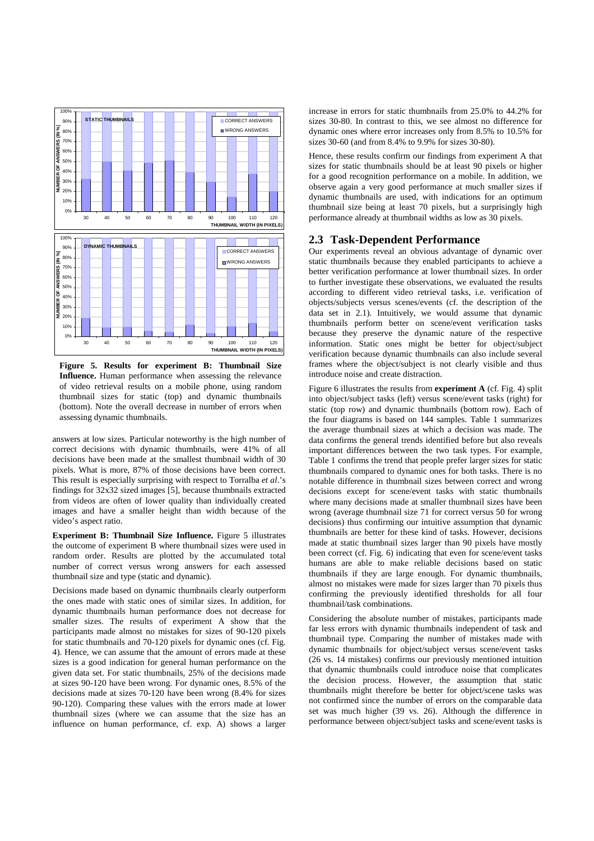

**Figure 5. Results for experiment B: Thumbnail Size Influence.** Human performance when assessing the relevance of video retrieval results on a mobile phone, using random thumbnail sizes for static (top) and dynamic thumbnails (bottom). Note the overall decrease in number of errors when assessing dynamic thumbnails.

answers at low sizes. Particular noteworthy is the high number of correct decisions with dynamic thumbnails, were 41% of all decisions have been made at the smallest thumbnail width of 30 pixels. What is more, 87% of those decisions have been correct. This result is especially surprising with respect to Torralba *et al*.'s findings for 32x32 sized images [5], because thumbnails extracted from videos are often of lower quality than individually created images and have a smaller height than width because of the video's aspect ratio.

**Experiment B: Thumbnail Size Influence.** Figure 5 illustrates the outcome of experiment B where thumbnail sizes were used in random order. Results are plotted by the accumulated total number of correct versus wrong answers for each assessed thumbnail size and type (static and dynamic).

Decisions made based on dynamic thumbnails clearly outperform the ones made with static ones of similar sizes. In addition, for dynamic thumbnails human performance does not decrease for smaller sizes. The results of experiment A show that the participants made almost no mistakes for sizes of 90-120 pixels for static thumbnails and 70-120 pixels for dynamic ones (cf. Fig. 4). Hence, we can assume that the amount of errors made at these sizes is a good indication for general human performance on the given data set. For static thumbnails, 25% of the decisions made at sizes 90-120 have been wrong. For dynamic ones, 8.5% of the decisions made at sizes 70-120 have been wrong (8.4% for sizes 90-120). Comparing these values with the errors made at lower thumbnail sizes (where we can assume that the size has an influence on human performance, cf. exp. A) shows a larger increase in errors for static thumbnails from 25.0% to 44.2% for sizes 30-80. In contrast to this, we see almost no difference for dynamic ones where error increases only from 8.5% to 10.5% for sizes 30-60 (and from 8.4% to 9.9% for sizes 30-80).

Hence, these results confirm our findings from experiment A that sizes for static thumbnails should be at least 90 pixels or higher for a good recognition performance on a mobile. In addition, we observe again a very good performance at much smaller sizes if dynamic thumbnails are used, with indications for an optimum thumbnail size being at least 70 pixels, but a surprisingly high performance already at thumbnail widths as low as 30 pixels.

#### **2.3 Task-Dependent Performance**

Our experiments reveal an obvious advantage of dynamic over static thumbnails because they enabled participants to achieve a better verification performance at lower thumbnail sizes. In order to further investigate these observations, we evaluated the results according to different video retrieval tasks, i.e. verification of objects/subjects versus scenes/events (cf. the description of the data set in 2.1). Intuitively, we would assume that dynamic thumbnails perform better on scene/event verification tasks because they preserve the dynamic nature of the respective information. Static ones might be better for object/subject verification because dynamic thumbnails can also include several frames where the object/subject is not clearly visible and thus introduce noise and create distraction.

Figure 6 illustrates the results from **experiment A** (cf. Fig. 4) split into object/subject tasks (left) versus scene/event tasks (right) for static (top row) and dynamic thumbnails (bottom row). Each of the four diagrams is based on 144 samples. Table 1 summarizes the average thumbnail sizes at which a decision was made. The data confirms the general trends identified before but also reveals important differences between the two task types. For example, Table 1 confirms the trend that people prefer larger sizes for static thumbnails compared to dynamic ones for both tasks. There is no notable difference in thumbnail sizes between correct and wrong decisions except for scene/event tasks with static thumbnails where many decisions made at smaller thumbnail sizes have been wrong (average thumbnail size 71 for correct versus 50 for wrong decisions) thus confirming our intuitive assumption that dynamic thumbnails are better for these kind of tasks. However, decisions made at static thumbnail sizes larger than 90 pixels have mostly been correct (cf. Fig. 6) indicating that even for scene/event tasks humans are able to make reliable decisions based on static thumbnails if they are large enough. For dynamic thumbnails, almost no mistakes were made for sizes larger than 70 pixels thus confirming the previously identified thresholds for all four thumbnail/task combinations.

Considering the absolute number of mistakes, participants made far less errors with dynamic thumbnails independent of task and thumbnail type. Comparing the number of mistakes made with dynamic thumbnails for object/subject versus scene/event tasks (26 vs. 14 mistakes) confirms our previously mentioned intuition that dynamic thumbnails could introduce noise that complicates the decision process. However, the assumption that static thumbnails might therefore be better for object/scene tasks was not confirmed since the number of errors on the comparable data set was much higher (39 vs. 26). Although the difference in performance between object/subject tasks and scene/event tasks is